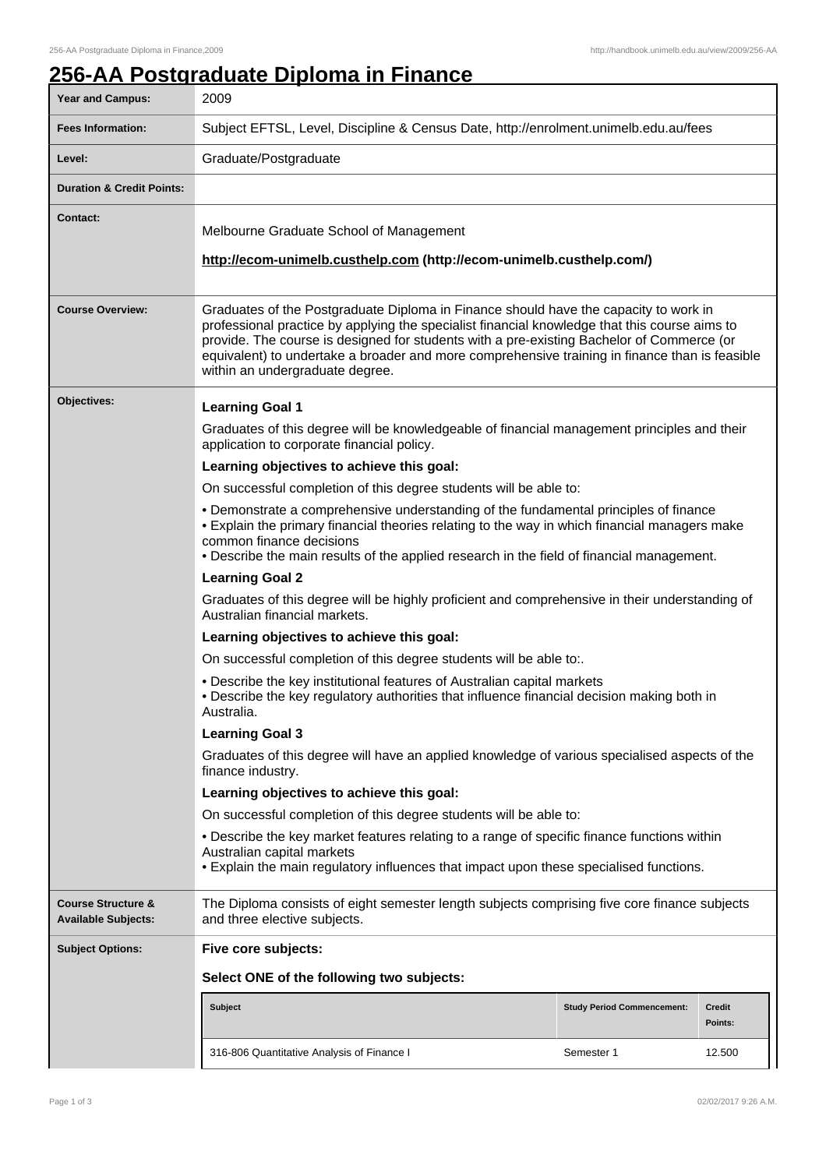٦

## **256-AA Postgraduate Diploma in Finance**

| <b>Year and Campus:</b>                                     | 2009                                                                                                                                                                                                                                                                                                                                                                                                                    |                                   |                   |
|-------------------------------------------------------------|-------------------------------------------------------------------------------------------------------------------------------------------------------------------------------------------------------------------------------------------------------------------------------------------------------------------------------------------------------------------------------------------------------------------------|-----------------------------------|-------------------|
| <b>Fees Information:</b>                                    | Subject EFTSL, Level, Discipline & Census Date, http://enrolment.unimelb.edu.au/fees                                                                                                                                                                                                                                                                                                                                    |                                   |                   |
| Level:                                                      | Graduate/Postgraduate                                                                                                                                                                                                                                                                                                                                                                                                   |                                   |                   |
| <b>Duration &amp; Credit Points:</b>                        |                                                                                                                                                                                                                                                                                                                                                                                                                         |                                   |                   |
| <b>Contact:</b>                                             | Melbourne Graduate School of Management<br>http://ecom-unimelb.custhelp.com (http://ecom-unimelb.custhelp.com/)                                                                                                                                                                                                                                                                                                         |                                   |                   |
| <b>Course Overview:</b>                                     | Graduates of the Postgraduate Diploma in Finance should have the capacity to work in<br>professional practice by applying the specialist financial knowledge that this course aims to<br>provide. The course is designed for students with a pre-existing Bachelor of Commerce (or<br>equivalent) to undertake a broader and more comprehensive training in finance than is feasible<br>within an undergraduate degree. |                                   |                   |
| Objectives:                                                 | <b>Learning Goal 1</b>                                                                                                                                                                                                                                                                                                                                                                                                  |                                   |                   |
|                                                             | Graduates of this degree will be knowledgeable of financial management principles and their<br>application to corporate financial policy.                                                                                                                                                                                                                                                                               |                                   |                   |
|                                                             | Learning objectives to achieve this goal:                                                                                                                                                                                                                                                                                                                                                                               |                                   |                   |
|                                                             | On successful completion of this degree students will be able to:                                                                                                                                                                                                                                                                                                                                                       |                                   |                   |
|                                                             | • Demonstrate a comprehensive understanding of the fundamental principles of finance<br>• Explain the primary financial theories relating to the way in which financial managers make<br>common finance decisions<br>. Describe the main results of the applied research in the field of financial management.                                                                                                          |                                   |                   |
|                                                             | <b>Learning Goal 2</b>                                                                                                                                                                                                                                                                                                                                                                                                  |                                   |                   |
|                                                             | Graduates of this degree will be highly proficient and comprehensive in their understanding of<br>Australian financial markets.                                                                                                                                                                                                                                                                                         |                                   |                   |
|                                                             | Learning objectives to achieve this goal:                                                                                                                                                                                                                                                                                                                                                                               |                                   |                   |
|                                                             | On successful completion of this degree students will be able to:.                                                                                                                                                                                                                                                                                                                                                      |                                   |                   |
|                                                             | • Describe the key institutional features of Australian capital markets<br>. Describe the key regulatory authorities that influence financial decision making both in<br>Australia                                                                                                                                                                                                                                      |                                   |                   |
|                                                             | <b>Learning Goal 3</b>                                                                                                                                                                                                                                                                                                                                                                                                  |                                   |                   |
|                                                             | Graduates of this degree will have an applied knowledge of various specialised aspects of the<br>finance industry.<br>Learning objectives to achieve this goal:<br>On successful completion of this degree students will be able to:                                                                                                                                                                                    |                                   |                   |
|                                                             |                                                                                                                                                                                                                                                                                                                                                                                                                         |                                   |                   |
|                                                             |                                                                                                                                                                                                                                                                                                                                                                                                                         |                                   |                   |
|                                                             | • Describe the key market features relating to a range of specific finance functions within<br>Australian capital markets<br>. Explain the main regulatory influences that impact upon these specialised functions.                                                                                                                                                                                                     |                                   |                   |
| <b>Course Structure &amp;</b><br><b>Available Subjects:</b> | The Diploma consists of eight semester length subjects comprising five core finance subjects<br>and three elective subjects.                                                                                                                                                                                                                                                                                            |                                   |                   |
| <b>Subject Options:</b>                                     | Five core subjects:                                                                                                                                                                                                                                                                                                                                                                                                     |                                   |                   |
|                                                             | Select ONE of the following two subjects:                                                                                                                                                                                                                                                                                                                                                                               |                                   |                   |
|                                                             | <b>Subject</b>                                                                                                                                                                                                                                                                                                                                                                                                          | <b>Study Period Commencement:</b> | Credit<br>Points: |
|                                                             | 316-806 Quantitative Analysis of Finance I                                                                                                                                                                                                                                                                                                                                                                              | Semester 1                        | 12.500            |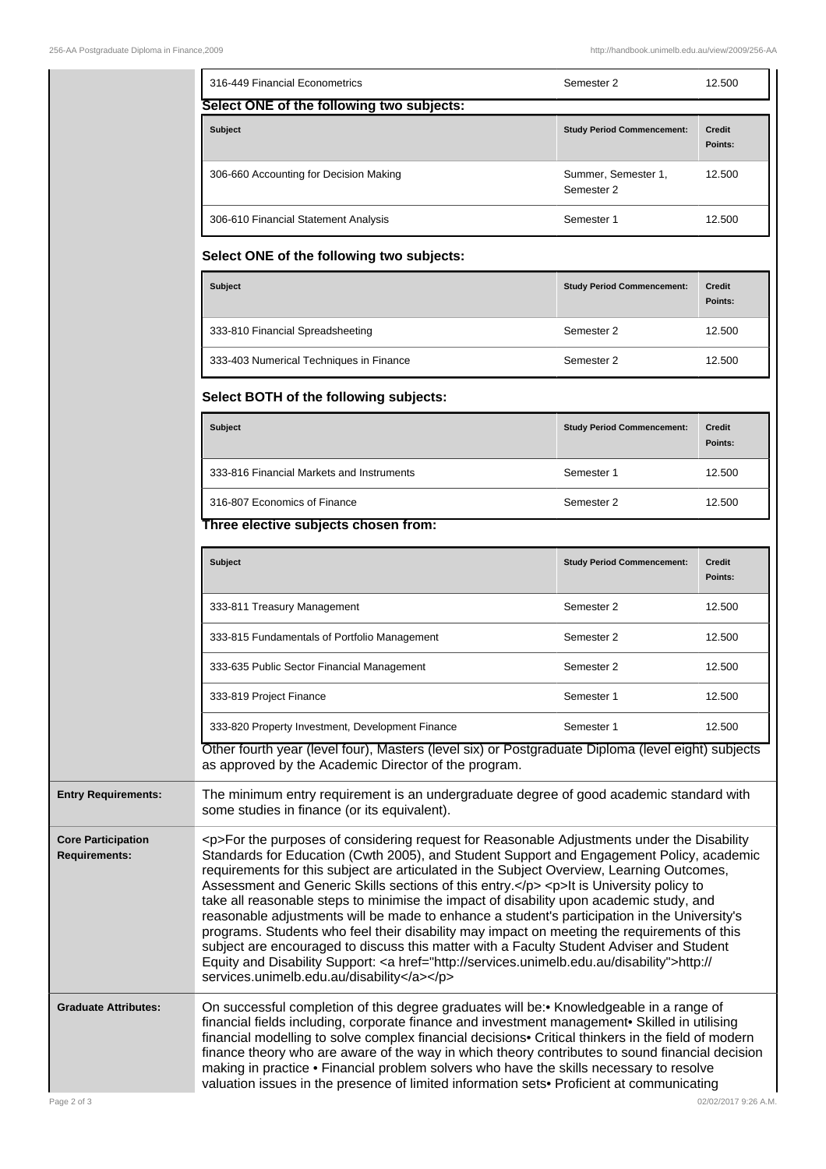|                                                   | 316-449 Financial Econometrics                                                                                                                                                                                                                                                                                                                                                                                                                                                                                                                                                                                                                                                                                                                                                                                                                                                                                               | Semester 2                        | 12.500                   |
|---------------------------------------------------|------------------------------------------------------------------------------------------------------------------------------------------------------------------------------------------------------------------------------------------------------------------------------------------------------------------------------------------------------------------------------------------------------------------------------------------------------------------------------------------------------------------------------------------------------------------------------------------------------------------------------------------------------------------------------------------------------------------------------------------------------------------------------------------------------------------------------------------------------------------------------------------------------------------------------|-----------------------------------|--------------------------|
|                                                   | Select ONE of the following two subjects:                                                                                                                                                                                                                                                                                                                                                                                                                                                                                                                                                                                                                                                                                                                                                                                                                                                                                    |                                   |                          |
|                                                   | <b>Subject</b>                                                                                                                                                                                                                                                                                                                                                                                                                                                                                                                                                                                                                                                                                                                                                                                                                                                                                                               | <b>Study Period Commencement:</b> | <b>Credit</b><br>Points: |
|                                                   | 306-660 Accounting for Decision Making                                                                                                                                                                                                                                                                                                                                                                                                                                                                                                                                                                                                                                                                                                                                                                                                                                                                                       | Summer, Semester 1,<br>Semester 2 | 12.500                   |
|                                                   | 306-610 Financial Statement Analysis                                                                                                                                                                                                                                                                                                                                                                                                                                                                                                                                                                                                                                                                                                                                                                                                                                                                                         | Semester 1                        | 12.500                   |
|                                                   | Select ONE of the following two subjects:                                                                                                                                                                                                                                                                                                                                                                                                                                                                                                                                                                                                                                                                                                                                                                                                                                                                                    |                                   |                          |
|                                                   | <b>Subject</b>                                                                                                                                                                                                                                                                                                                                                                                                                                                                                                                                                                                                                                                                                                                                                                                                                                                                                                               | <b>Study Period Commencement:</b> | <b>Credit</b><br>Points: |
|                                                   | 333-810 Financial Spreadsheeting                                                                                                                                                                                                                                                                                                                                                                                                                                                                                                                                                                                                                                                                                                                                                                                                                                                                                             | Semester 2                        | 12.500                   |
|                                                   | 333-403 Numerical Techniques in Finance                                                                                                                                                                                                                                                                                                                                                                                                                                                                                                                                                                                                                                                                                                                                                                                                                                                                                      | Semester 2                        | 12.500                   |
|                                                   | Select BOTH of the following subjects:                                                                                                                                                                                                                                                                                                                                                                                                                                                                                                                                                                                                                                                                                                                                                                                                                                                                                       |                                   |                          |
|                                                   | <b>Subject</b>                                                                                                                                                                                                                                                                                                                                                                                                                                                                                                                                                                                                                                                                                                                                                                                                                                                                                                               | <b>Study Period Commencement:</b> | <b>Credit</b><br>Points: |
|                                                   | 333-816 Financial Markets and Instruments                                                                                                                                                                                                                                                                                                                                                                                                                                                                                                                                                                                                                                                                                                                                                                                                                                                                                    | Semester 1                        | 12.500                   |
|                                                   | 316-807 Economics of Finance                                                                                                                                                                                                                                                                                                                                                                                                                                                                                                                                                                                                                                                                                                                                                                                                                                                                                                 | Semester 2                        | 12.500                   |
|                                                   | Three elective subjects chosen from:                                                                                                                                                                                                                                                                                                                                                                                                                                                                                                                                                                                                                                                                                                                                                                                                                                                                                         |                                   |                          |
|                                                   | <b>Subject</b>                                                                                                                                                                                                                                                                                                                                                                                                                                                                                                                                                                                                                                                                                                                                                                                                                                                                                                               | <b>Study Period Commencement:</b> | <b>Credit</b><br>Points: |
|                                                   | 333-811 Treasury Management                                                                                                                                                                                                                                                                                                                                                                                                                                                                                                                                                                                                                                                                                                                                                                                                                                                                                                  | Semester 2                        | 12.500                   |
|                                                   | 333-815 Fundamentals of Portfolio Management                                                                                                                                                                                                                                                                                                                                                                                                                                                                                                                                                                                                                                                                                                                                                                                                                                                                                 | Semester 2                        | 12.500                   |
|                                                   | 333-635 Public Sector Financial Management                                                                                                                                                                                                                                                                                                                                                                                                                                                                                                                                                                                                                                                                                                                                                                                                                                                                                   | Semester 2                        | 12.500                   |
|                                                   | 333-819 Project Finance                                                                                                                                                                                                                                                                                                                                                                                                                                                                                                                                                                                                                                                                                                                                                                                                                                                                                                      | Semester 1                        | 12.500                   |
|                                                   | 333-820 Property Investment, Development Finance<br>Other fourth year (level four), Masters (level six) or Postgraduate Diploma (level eight) subjects                                                                                                                                                                                                                                                                                                                                                                                                                                                                                                                                                                                                                                                                                                                                                                       | Semester 1                        | 12.500                   |
|                                                   | as approved by the Academic Director of the program.                                                                                                                                                                                                                                                                                                                                                                                                                                                                                                                                                                                                                                                                                                                                                                                                                                                                         |                                   |                          |
| <b>Entry Requirements:</b>                        | The minimum entry requirement is an undergraduate degree of good academic standard with<br>some studies in finance (or its equivalent).                                                                                                                                                                                                                                                                                                                                                                                                                                                                                                                                                                                                                                                                                                                                                                                      |                                   |                          |
| <b>Core Participation</b><br><b>Requirements:</b> | <p>For the purposes of considering request for Reasonable Adjustments under the Disability<br/>Standards for Education (Cwth 2005), and Student Support and Engagement Policy, academic<br/>requirements for this subject are articulated in the Subject Overview, Learning Outcomes,<br/>Assessment and Generic Skills sections of this entry.</p> <p>lt is University policy to<br/>take all reasonable steps to minimise the impact of disability upon academic study, and<br/>reasonable adjustments will be made to enhance a student's participation in the University's<br/>programs. Students who feel their disability may impact on meeting the requirements of this<br/>subject are encouraged to discuss this matter with a Faculty Student Adviser and Student<br/>Equity and Disability Support: &lt; a href="http://services.unimelb.edu.au/disability"&gt;http://<br/>services.unimelb.edu.au/disability</p> |                                   |                          |
| <b>Graduate Attributes:</b>                       | On successful completion of this degree graduates will be: • Knowledgeable in a range of<br>financial fields including, corporate finance and investment management• Skilled in utilising<br>financial modelling to solve complex financial decisions• Critical thinkers in the field of modern<br>finance theory who are aware of the way in which theory contributes to sound financial decision<br>making in practice . Financial problem solvers who have the skills necessary to resolve<br>valuation issues in the presence of limited information sets• Proficient at communicating                                                                                                                                                                                                                                                                                                                                   |                                   |                          |